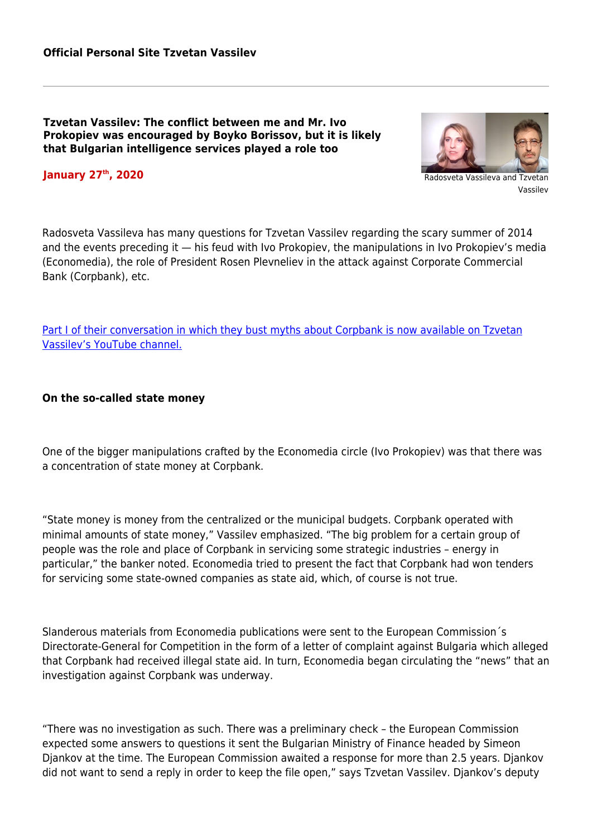**Tzvetan Vassilev: The conflict between me and Mr. Ivo Prokopiev was encouraged by Boyko Borissov, but it is likely that Bulgarian intelligence services played a role too**





Vassilev

Radosveta Vassileva has many questions for Tzvetan Vassilev regarding the scary summer of 2014 and the events preceding it — his feud with Ivo Prokopiev, the manipulations in Ivo Prokopiev's media (Economedia), the role of President Rosen Plevneliev in the attack against Corporate Commercial Bank (Corpbank), etc.

[Part I of their conversation in which they bust myths about Corpbank is now available on Tzvetan](https://www.youtube.com/watch?v=MBPNBunokU8) [Vassilev's YouTube channel.](https://www.youtube.com/watch?v=MBPNBunokU8)

**On the so-called state money**

One of the bigger manipulations crafted by the Economedia circle (Ivo Prokopiev) was that there was a concentration of state money at Corpbank.

"State money is money from the centralized or the municipal budgets. Corpbank operated with minimal amounts of state money," Vassilev emphasized. "The big problem for a certain group of people was the role and place of Corpbank in servicing some strategic industries – energy in particular," the banker noted. Economedia tried to present the fact that Corpbank had won tenders for servicing some state-owned companies as state aid, which, of course is not true.

Slanderous materials from Economedia publications were sent to the European Commission´s Directorate-General for Competition in the form of a letter of complaint against Bulgaria which alleged that Corpbank had received illegal state aid. In turn, Economedia began circulating the "news" that an investigation against Corpbank was underway.

"There was no investigation as such. There was a preliminary check – the European Commission expected some answers to questions it sent the Bulgarian Ministry of Finance headed by Simeon Djankov at the time. The European Commission awaited a response for more than 2.5 years. Djankov did not want to send a reply in order to keep the file open," says Tzvetan Vassilev. Djankov's deputy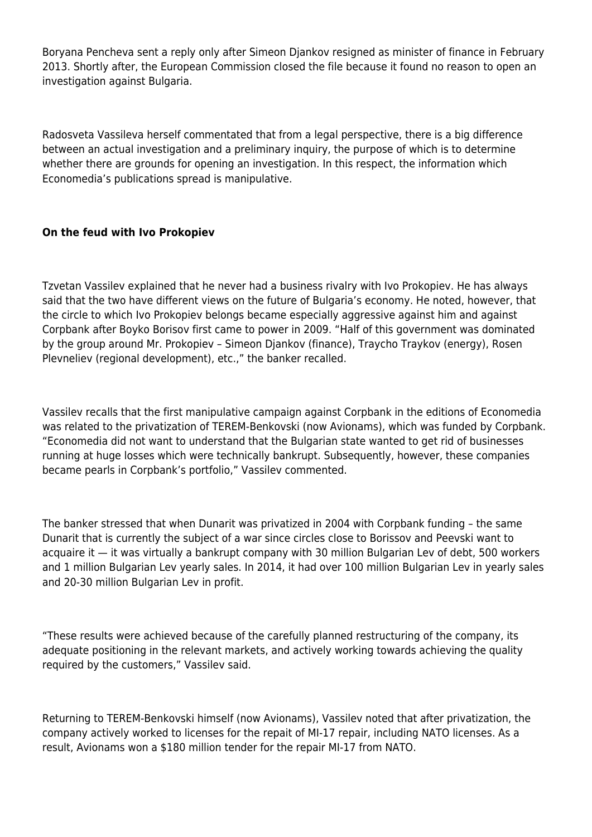Boryana Pencheva sent a reply only after Simeon Djankov resigned as minister of finance in February 2013. Shortly after, the European Commission closed the file because it found no reason to open an investigation against Bulgaria.

Radosveta Vassileva herself commentated that from a legal perspective, there is a big difference between an actual investigation and a preliminary inquiry, the purpose of which is to determine whether there are grounds for opening an investigation. In this respect, the information which Economedia's publications spread is manipulative.

## **On the feud with Ivo Prokopiev**

Tzvetan Vassilev explained that he never had a business rivalry with Ivo Prokopiev. He has always said that the two have different views on the future of Bulgaria's economy. He noted, however, that the circle to which Ivo Prokopiev belongs became especially aggressive against him and against Corpbank after Boyko Borisov first came to power in 2009. "Half of this government was dominated by the group around Mr. Prokopiev – Simeon Djankov (finance), Traycho Traykov (energy), Rosen Plevneliev (regional development), etc.," the banker recalled.

Vassilev recalls that the first manipulative campaign against Corpbank in the editions of Economedia was related to the privatization of TEREM-Benkovski (now Avionams), which was funded by Corpbank. "Economedia did not want to understand that the Bulgarian state wanted to get rid of businesses running at huge losses which were technically bankrupt. Subsequently, however, these companies became pearls in Corpbank's portfolio," Vassilev commented.

The banker stressed that when Dunarit was privatized in 2004 with Corpbank funding – the same Dunarit that is currently the subject of a war since circles close to Borissov and Peevski want to acquaire it — it was virtually a bankrupt company with 30 million Bulgarian Lev of debt, 500 workers and 1 million Bulgarian Lev yearly sales. In 2014, it had over 100 million Bulgarian Lev in yearly sales and 20-30 million Bulgarian Lev in profit.

"These results were achieved because of the carefully planned restructuring of the company, its adequate positioning in the relevant markets, and actively working towards achieving the quality required by the customers," Vassilev said.

Returning to TEREM-Benkovski himself (now Avionams), Vassilev noted that after privatization, the company actively worked to licenses for the repait of MI-17 repair, including NATO licenses. As a result, Avionams won a \$180 million tender for the repair MI-17 from NATO.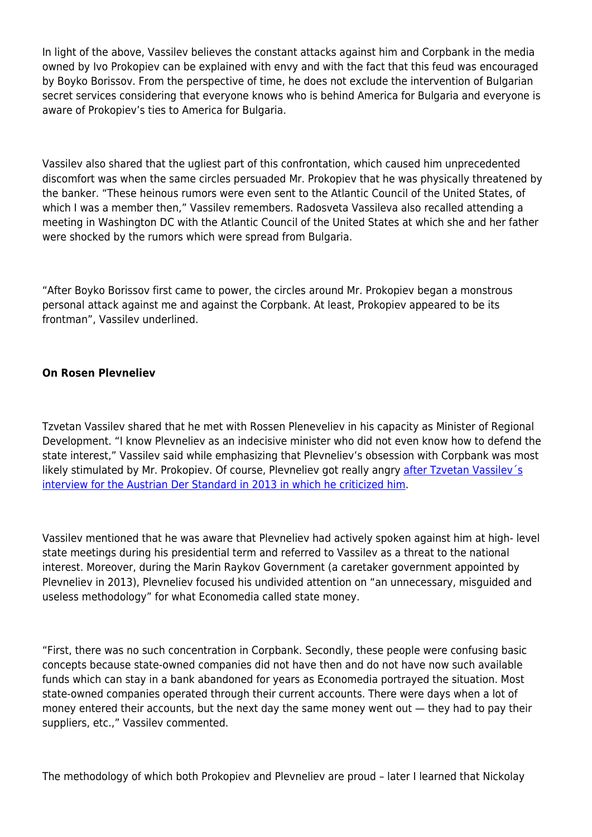In light of the above, Vassilev believes the constant attacks against him and Corpbank in the media owned by Ivo Prokopiev can be explained with envy and with the fact that this feud was encouraged by Boyko Borissov. From the perspective of time, he does not exclude the intervention of Bulgarian secret services considering that everyone knows who is behind America for Bulgaria and everyone is aware of Prokopiev's ties to America for Bulgaria.

Vassilev also shared that the ugliest part of this confrontation, which caused him unprecedented discomfort was when the same circles persuaded Mr. Prokopiev that he was physically threatened by the banker. "These heinous rumors were even sent to the Atlantic Council of the United States, of which I was a member then," Vassilev remembers. Radosveta Vassileva also recalled attending a meeting in Washington DC with the Atlantic Council of the United States at which she and her father were shocked by the rumors which were spread from Bulgaria.

"After Boyko Borissov first came to power, the circles around Mr. Prokopiev began a monstrous personal attack against me and against the Corpbank. At least, Prokopiev appeared to be its frontman", Vassilev underlined.

## **On Rosen Plevneliev**

Tzvetan Vassilev shared that he met with Rossen Pleneveliev in his capacity as Minister of Regional Development. "I know Plevneliev as an indecisive minister who did not even know how to defend the state interest," Vassilev said while emphasizing that Plevneliev's obsession with Corpbank was most likely stimulated by Mr. Prokopiev. Of course, Plevneliev got really angry after Tzvetan Vassiley's [interview for the Austrian Der Standard in 2013 in which he criticized him.](https://apps.derstandard.at/privacywall/story/1363705901476/der-praesident-vertritt-unternehmerinteressen)

Vassilev mentioned that he was aware that Plevneliev had actively spoken against him at high- level state meetings during his presidential term and referred to Vassilev as a threat to the national interest. Moreover, during the Marin Raykov Government (a caretaker government appointed by Plevneliev in 2013), Plevneliev focused his undivided attention on "an unnecessary, misguided and useless methodology" for what Economedia called state money.

"First, there was no such concentration in Corpbank. Secondly, these people were confusing basic concepts because state-owned companies did not have then and do not have now such available funds which can stay in a bank abandoned for years as Economedia portrayed the situation. Most state-owned companies operated through their current accounts. There were days when a lot of money entered their accounts, but the next day the same money went out — they had to pay their suppliers, etc.," Vassilev commented.

The methodology of which both Prokopiev and Plevneliev are proud – later I learned that Nickolay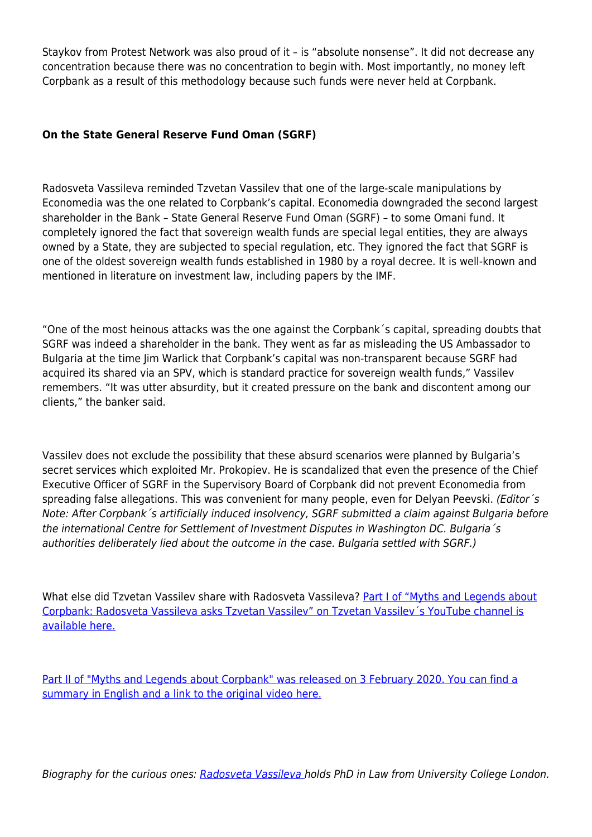Staykov from Protest Network was also proud of it – is "absolute nonsense". It did not decrease any concentration because there was no concentration to begin with. Most importantly, no money left Corpbank as a result of this methodology because such funds were never held at Corpbank.

## **On the State General Reserve Fund Oman (SGRF)**

Radosveta Vassileva reminded Tzvetan Vassilev that one of the large-scale manipulations by Economedia was the one related to Corpbank's capital. Economedia downgraded the second largest shareholder in the Bank – State General Reserve Fund Oman (SGRF) – to some Omani fund. It completely ignored the fact that sovereign wealth funds are special legal entities, they are always owned by a State, they are subjected to special regulation, etc. They ignored the fact that SGRF is one of the oldest sovereign wealth funds established in 1980 by a royal decree. It is well-known and mentioned in literature on investment law, including papers by the IMF.

"One of the most heinous attacks was the one against the Corpbank´s capital, spreading doubts that SGRF was indeed a shareholder in the bank. They went as far as misleading the US Ambassador to Bulgaria at the time Jim Warlick that Corpbank's capital was non-transparent because SGRF had acquired its shared via an SPV, which is standard practice for sovereign wealth funds," Vassilev remembers. "It was utter absurdity, but it created pressure on the bank and discontent among our clients," the banker said.

Vassilev does not exclude the possibility that these absurd scenarios were planned by Bulgaria's secret services which exploited Mr. Prokopiev. He is scandalized that even the presence of the Chief Executive Officer of SGRF in the Supervisory Board of Corpbank did not prevent Economedia from spreading false allegations. This was convenient for many people, even for Delyan Peevski. (Editor's Note: After Corpbank´s artificially induced insolvency, SGRF submitted a claim against Bulgaria before the international Centre for Settlement of Investment Disputes in Washington DC. Bulgaria´s authorities deliberately lied about the outcome in the case. Bulgaria settled with SGRF.)

What else did Tzvetan Vassilev share with Radosveta Vassileva? [Part I of "Myths and Legends about](https://www.youtube.com/watch?v=MBPNBunokU8) [Corpbank: Radosveta Vassileva asks Tzvetan Vassilev" on Tzvetan Vassilev´s YouTube channel is](https://www.youtube.com/watch?v=MBPNBunokU8) [available here.](https://www.youtube.com/watch?v=MBPNBunokU8)

[Part II of "Myths and Legends about Corpbank" was released on 3 February 2020. You can find a](#page--1-0) [summary in English and a link to the original video here.](#page--1-0)

Biography for the curious ones: [Radosveta Vassileva](https://radosvetavassileva.blog) holds PhD in Law from University College London.